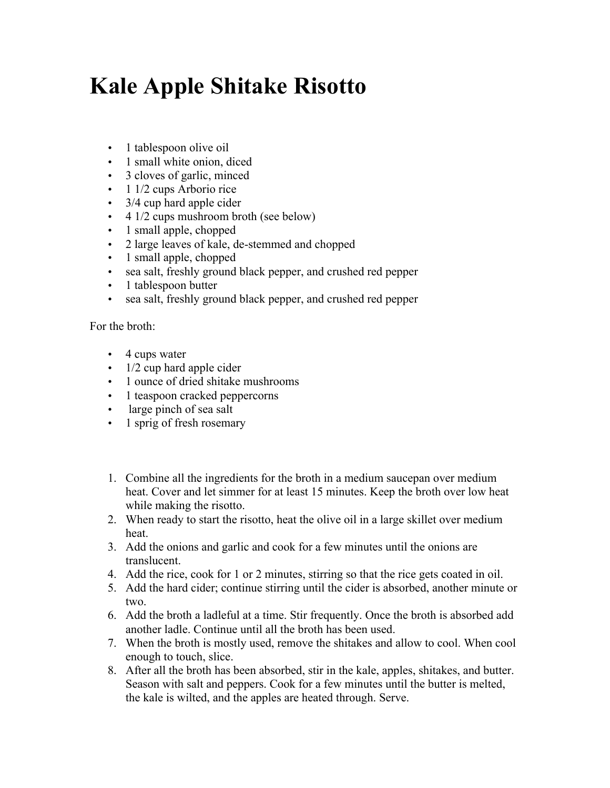## **Kale Apple Shitake Risotto**

- 1 tablespoon olive oil
- 1 small white onion, diced
- 3 cloves of garlic, minced
- 1 1/2 cups Arborio rice
- 3/4 cup hard apple cider
- 4 1/2 cups mushroom broth (see below)
- 1 small apple, chopped
- 2 large leaves of kale, de-stemmed and chopped
- 1 small apple, chopped
- sea salt, freshly ground black pepper, and crushed red pepper
- 1 tablespoon butter
- sea salt, freshly ground black pepper, and crushed red pepper

For the broth:

- 4 cups water
- $\cdot$  1/2 cup hard apple cider
- 1 ounce of dried shitake mushrooms
- 1 teaspoon cracked peppercorns
- large pinch of sea salt
- 1 sprig of fresh rosemary
- 1. Combine all the ingredients for the broth in a medium saucepan over medium heat. Cover and let simmer for at least 15 minutes. Keep the broth over low heat while making the risotto.
- 2. When ready to start the risotto, heat the olive oil in a large skillet over medium heat.
- 3. Add the onions and garlic and cook for a few minutes until the onions are translucent.
- 4. Add the rice, cook for 1 or 2 minutes, stirring so that the rice gets coated in oil.
- 5. Add the hard cider; continue stirring until the cider is absorbed, another minute or two.
- 6. Add the broth a ladleful at a time. Stir frequently. Once the broth is absorbed add another ladle. Continue until all the broth has been used.
- 7. When the broth is mostly used, remove the shitakes and allow to cool. When cool enough to touch, slice.
- 8. After all the broth has been absorbed, stir in the kale, apples, shitakes, and butter. Season with salt and peppers. Cook for a few minutes until the butter is melted, the kale is wilted, and the apples are heated through. Serve.